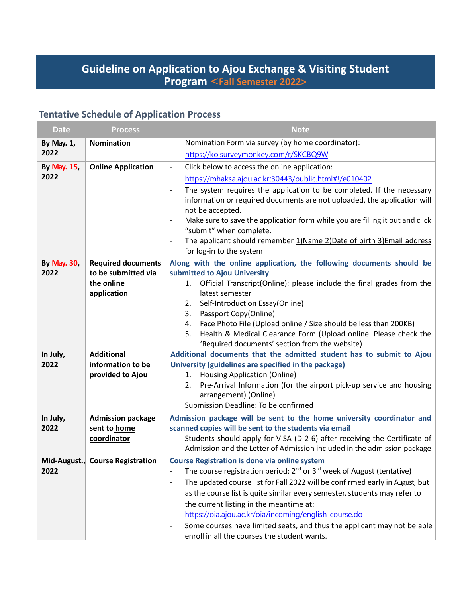### **Guideline on Application to Ajou Exchange & Visiting Student Program** <**Fall Semester 2022>**

## **Tentative Schedule of Application Process**

| <b>Date</b>                              | <b>Process</b>                    | <b>Note</b>                                                                                                                                                                                        |  |  |
|------------------------------------------|-----------------------------------|----------------------------------------------------------------------------------------------------------------------------------------------------------------------------------------------------|--|--|
| By May. 1,                               | <b>Nomination</b>                 | Nomination Form via survey (by home coordinator):                                                                                                                                                  |  |  |
| 2022                                     |                                   | https://ko.surveymonkey.com/r/SKCBQ9W                                                                                                                                                              |  |  |
| By May. 15,<br><b>Online Application</b> |                                   | Click below to access the online application:<br>$\overline{\phantom{a}}$                                                                                                                          |  |  |
| 2022                                     |                                   | https://mhaksa.ajou.ac.kr:30443/public.html#!/e010402                                                                                                                                              |  |  |
|                                          |                                   | The system requires the application to be completed. If the necessary<br>$\overline{\phantom{a}}$<br>information or required documents are not uploaded, the application will<br>not be accepted.  |  |  |
|                                          |                                   | Make sure to save the application form while you are filling it out and click<br>$\overline{\phantom{a}}$<br>"submit" when complete.                                                               |  |  |
|                                          |                                   | The applicant should remember 1) Name 2) Date of birth 3) Email address<br>$\overline{\phantom{a}}$<br>for log-in to the system                                                                    |  |  |
| <b>By May. 30,</b>                       | <b>Required documents</b>         | Along with the online application, the following documents should be                                                                                                                               |  |  |
| 2022                                     | to be submitted via<br>the online | submitted to Ajou University<br>Official Transcript(Online): please include the final grades from the<br>1.                                                                                        |  |  |
|                                          | application                       | latest semester                                                                                                                                                                                    |  |  |
|                                          |                                   | Self-Introduction Essay(Online)<br>2.                                                                                                                                                              |  |  |
|                                          |                                   | Passport Copy(Online)<br>3.                                                                                                                                                                        |  |  |
|                                          |                                   | Face Photo File (Upload online / Size should be less than 200KB)<br>4.<br>Health & Medical Clearance Form (Upload online. Please check the<br>5.<br>'Required documents' section from the website) |  |  |
| In July,                                 | <b>Additional</b>                 | Additional documents that the admitted student has to submit to Ajou                                                                                                                               |  |  |
| 2022                                     | information to be                 | University (guidelines are specified in the package)                                                                                                                                               |  |  |
|                                          | provided to Ajou                  | Housing Application (Online)<br>1.                                                                                                                                                                 |  |  |
|                                          |                                   | Pre-Arrival Information (for the airport pick-up service and housing<br>2.<br>arrangement) (Online)                                                                                                |  |  |
|                                          |                                   | Submission Deadline: To be confirmed                                                                                                                                                               |  |  |
| In July,                                 | <b>Admission package</b>          | Admission package will be sent to the home university coordinator and                                                                                                                              |  |  |
| 2022                                     | sent to home                      | scanned copies will be sent to the students via email                                                                                                                                              |  |  |
|                                          | coordinator                       | Students should apply for VISA (D-2-6) after receiving the Certificate of<br>Admission and the Letter of Admission included in the admission package                                               |  |  |
| Mid-August., Course Registration         |                                   | <b>Course Registration is done via online system</b>                                                                                                                                               |  |  |
| 2022                                     |                                   | The course registration period: 2 <sup>nd</sup> or 3 <sup>rd</sup> week of August (tentative)                                                                                                      |  |  |
|                                          |                                   | The updated course list for Fall 2022 will be confirmed early in August, but<br>$\overline{\phantom{a}}$                                                                                           |  |  |
|                                          |                                   | as the course list is quite similar every semester, students may refer to                                                                                                                          |  |  |
|                                          |                                   | the current listing in the meantime at:                                                                                                                                                            |  |  |
|                                          |                                   | https://oia.ajou.ac.kr/oia/incoming/english-course.do                                                                                                                                              |  |  |
|                                          |                                   | Some courses have limited seats, and thus the applicant may not be able<br>$\overline{\phantom{a}}$<br>enroll in all the courses the student wants.                                                |  |  |